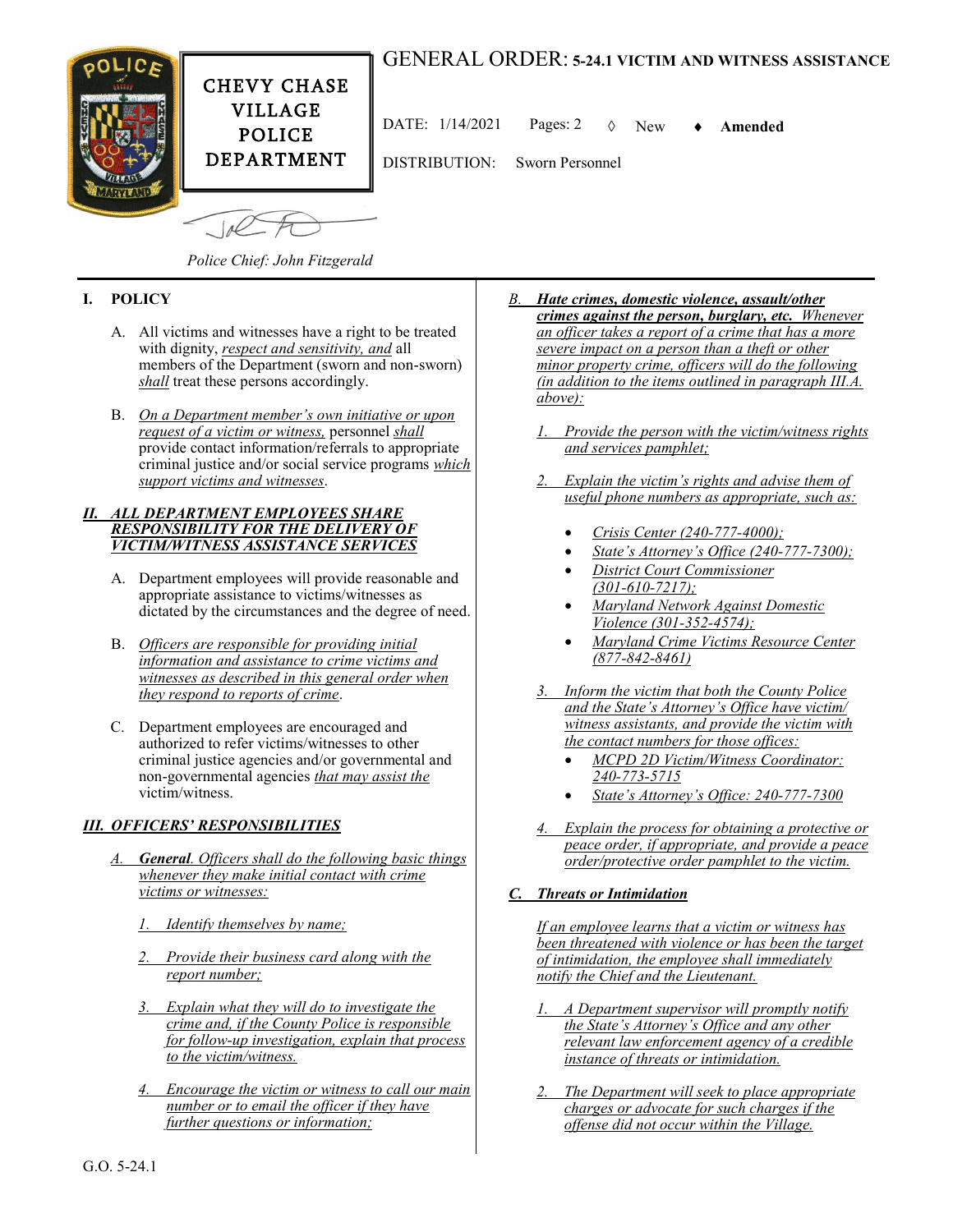



DATE: 1/14/2021 Pages: 2 New **Amended**

DEPARTMENT

DISTRIBUTION: Sworn Personnel

 $10<sup>o</sup>$ 

*Police Chief: John Fitzgerald*

## **I. POLICY**

- A. All victims and witnesses have a right to be treated with dignity, *respect and sensitivity, and* all members of the Department (sworn and non-sworn) *shall* treat these persons accordingly.
- B. *On a Department member's own initiative or upon request of a victim or witness,* personnel *shall* provide contact information/referrals to appropriate criminal justice and/or social service programs *which support victims and witnesses*.

## *II. ALL DEPARTMENT EMPLOYEES SHARE RESPONSIBILITY FOR THE DELIVERY OF VICTIM/WITNESS ASSISTANCE SERVICES*

- A. Department employees will provide reasonable and appropriate assistance to victims/witnesses as dictated by the circumstances and the degree of need.
- B. *Officers are responsible for providing initial information and assistance to crime victims and witnesses as described in this general order when they respond to reports of crime*.
- C. Department employees are encouraged and authorized to refer victims/witnesses to other criminal justice agencies and/or governmental and non-governmental agencies *that may assist the* victim/witness.

## *III. OFFICERS' RESPONSIBILITIES*

- *General. Officers shall do the following basic things whenever they make initial contact with crime victims or witnesses:*
	- *1. Identify themselves by name;*
	- *2. Provide their business card along with the report number;*
	- *3. Explain what they will do to investigate the crime and, if the County Police is responsible for follow-up investigation, explain that process to the victim/witness.*
	- *4. Encourage the victim or witness to call our main number or to email the officer if they have further questions or information;*
- *B. Hate crimes, domestic violence, assault/other crimes against the person, burglary, etc. Whenever an officer takes a report of a crime that has a more severe impact on a person than a theft or other minor property crime, officers will do the following (in addition to the items outlined in paragraph III.A. above):* 
	- *1. Provide the person with the victim/witness rights and services pamphlet;*
	- *2. Explain the victim's rights and advise them of useful phone numbers as appropriate, such as:*
		- *Crisis Center (240-777-4000);*
		- *State's Attorney's Office (240-777-7300);*
		- *District Court Commissioner (301-610-7217);*
		- *Maryland Network Against Domestic Violence (301-352-4574);*
		- *Maryland Crime Victims Resource Center (877-842-8461)*
	- *3. Inform the victim that both the County Police and the State's Attorney's Office have victim/ witness assistants, and provide the victim with the contact numbers for those offices:* 
		- *MCPD 2D Victim/Witness Coordinator: 240-773-5715*
		- *State's Attorney's Office: 240-777-7300*
	- *4. Explain the process for obtaining a protective or peace order, if appropriate, and provide a peace order/protective order pamphlet to the victim.*

## *C. Threats or Intimidation*

*If an employee learns that a victim or witness has been threatened with violence or has been the target of intimidation, the employee shall immediately notify the Chief and the Lieutenant.* 

- *1. A Department supervisor will promptly notify the State's Attorney's Office and any other relevant law enforcement agency of a credible instance of threats or intimidation.*
- *2. The Department will seek to place appropriate charges or advocate for such charges if the offense did not occur within the Village.*